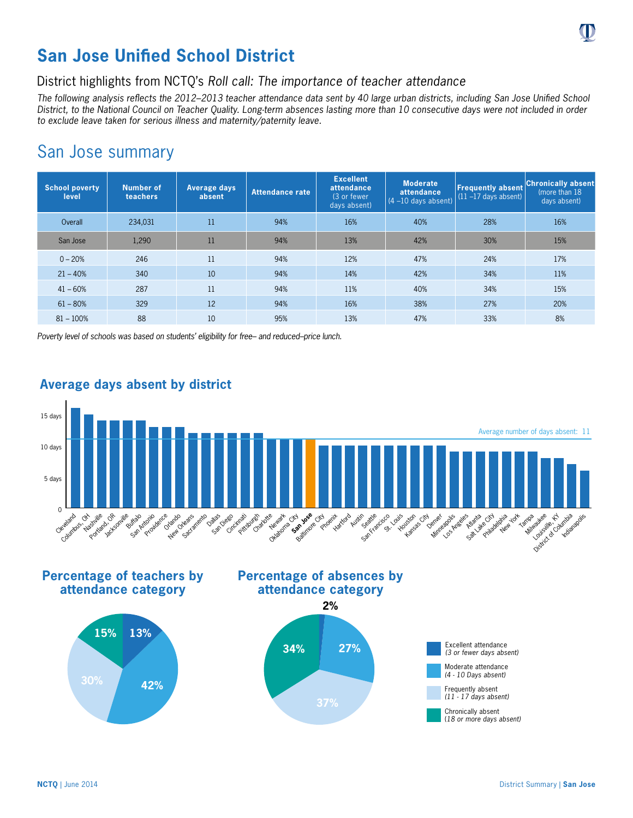

## District highlights from NCTQ's *Roll call: The importance of teacher attendance*

*The following analysis reflects the 2012–2013 teacher attendance data sent by 40 large urban districts, including San Jose Unified School District, to the National Council on Teacher Quality. Long-term absences lasting more than 10 consecutive days were not included in order to exclude leave taken for serious illness and maternity/paternity leave.*

## San Jose summary

| <b>School poverty</b><br>level | <b>Number of</b><br>teachers | Average days<br>absent | <b>Attendance rate</b> | <b>Excellent</b><br>attendance<br>(3 or fewer)<br>days absent) | <b>Moderate</b><br>attendance<br>$(4 - 10$ days absent) | <b>Frequently absent</b><br>$(11 - 17$ days absent) | <b>Chronically absent</b><br>(more than 18)<br>days absent) |
|--------------------------------|------------------------------|------------------------|------------------------|----------------------------------------------------------------|---------------------------------------------------------|-----------------------------------------------------|-------------------------------------------------------------|
| Overall                        | 234,031                      | 11                     | 94%                    | 16%                                                            | 40%                                                     | 28%                                                 | 16%                                                         |
| San Jose                       | 1,290                        | 11                     | 94%                    | 13%                                                            | 42%                                                     | 30%                                                 | 15%                                                         |
| $0 - 20%$                      | 246                          | 11                     | 94%                    | 12%                                                            | 47%                                                     | 24%                                                 | 17%                                                         |
| $21 - 40%$                     | 340                          | 10                     | 94%                    | 14%                                                            | 42%                                                     | 34%                                                 | 11%                                                         |
| $41 - 60%$                     | 287                          | 11                     | 94%                    | 11%                                                            | 40%                                                     | 34%                                                 | 15%                                                         |
| $61 - 80%$                     | 329                          | 12                     | 94%                    | 16%                                                            | 38%                                                     | 27%                                                 | 20%                                                         |
| $81 - 100%$                    | 88                           | 10                     | 95%                    | 13%                                                            | 47%                                                     | 33%                                                 | 8%                                                          |

*Poverty level of schools was based on students' eligibility for free– and reduced–price lunch.*



## **Average days absent by district**

**Percentage of teachers by attendance category**









(*18 or more days absent)*